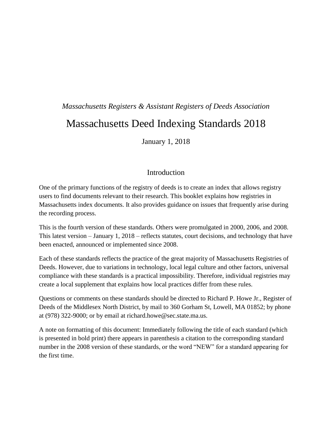# *Massachusetts Registers & Assistant Registers of Deeds Association* Massachusetts Deed Indexing Standards 2018

January 1, 2018

# Introduction

One of the primary functions of the registry of deeds is to create an index that allows registry users to find documents relevant to their research. This booklet explains how registries in Massachusetts index documents. It also provides guidance on issues that frequently arise during the recording process.

This is the fourth version of these standards. Others were promulgated in 2000, 2006, and 2008. This latest version – January 1, 2018 – reflects statutes, court decisions, and technology that have been enacted, announced or implemented since 2008.

Each of these standards reflects the practice of the great majority of Massachusetts Registries of Deeds. However, due to variations in technology, local legal culture and other factors, universal compliance with these standards is a practical impossibility. Therefore, individual registries may create a local supplement that explains how local practices differ from these rules.

Questions or comments on these standards should be directed to Richard P. Howe Jr., Register of Deeds of the Middlesex North District, by mail to 360 Gorham St, Lowell, MA 01852; by phone at (978) 322-9000; or by email at richard.howe@sec.state.ma.us.

A note on formatting of this document: Immediately following the title of each standard (which is presented in bold print) there appears in parenthesis a citation to the corresponding standard number in the 2008 version of these standards, or the word "NEW" for a standard appearing for the first time.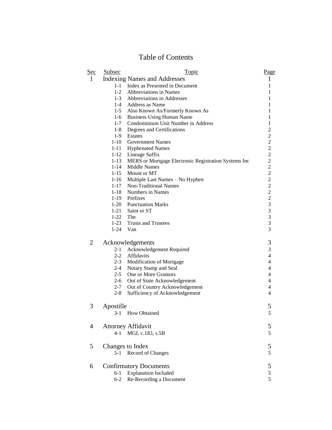# Table of Contents

| <u>Sec</u> | <b>Subsec</b>      | <b>Topic</b>                                         | Page                                       |
|------------|--------------------|------------------------------------------------------|--------------------------------------------|
| 1          |                    | <b>Indexing Names and Addresses</b>                  | 1                                          |
|            | $1 - 1$            | Index as Presented in Document                       | 1                                          |
|            | $1 - 2$            | <b>Abbreviations in Names</b>                        | 1                                          |
|            |                    | 1-3 Abbreviations in Addresses                       | 1                                          |
|            |                    | 1-4 Address as Name                                  | 1                                          |
|            |                    | 1-5 Also Known As/Formerly Known As                  | 1                                          |
|            | $1-6$              | <b>Business Using Human Name</b>                     | 1                                          |
|            | $1 - 7$            | Condominium Unit Number in Address                   | $\mathbf{1}$                               |
|            | $1 - 8$            | Degrees and Certifications                           | $\overline{c}$                             |
|            | $1-9$              | Estates                                              | $\begin{array}{c} 2 \\ 2 \\ 2 \end{array}$ |
|            | $1 - 10$           | <b>Government Names</b>                              |                                            |
|            | $1 - 11$           | <b>Hyphenated Names</b>                              |                                            |
|            | $1 - 12$           | Lineage Suffix                                       | $\frac{2}{2}$                              |
|            | $1 - 13$           | MERS or Mortgage Electronic Registration Systems Inc |                                            |
|            | $1 - 14$           | Middle Names                                         | $\overline{c}$                             |
|            | $1 - 15$           | Mount or MT                                          |                                            |
|            | $1 - 16$           | Multiple Last Names – No Hyphen                      |                                            |
|            | $1 - 17$           | <b>Non-Traditional Names</b>                         |                                            |
|            | $1 - 18$<br>$1-19$ | Numbers in Names<br>Prefixes                         |                                            |
|            |                    | 1-20 Punctuation Marks                               |                                            |
|            |                    | 1-21 Saint or ST                                     | $22222$<br>$333$                           |
|            | 1-22 The           |                                                      |                                            |
|            |                    | 1-23 Trusts and Trustees                             | 3                                          |
|            |                    | 1-24 Van                                             | 3                                          |
|            |                    |                                                      |                                            |
| 2          |                    | Acknowledgements                                     | $\mathfrak{Z}$                             |
|            | $2 - 1$            | Acknowledgement Required                             | 3                                          |
|            | $2 - 2$            | Affidavits                                           | $\overline{\mathbf{4}}$                    |
|            | $2 - 3$            | <b>Modification of Mortgage</b>                      | $\overline{\mathbf{4}}$                    |
|            | $2 - 4$            | Notary Stamp and Seal                                | $\overline{4}$                             |
|            | $2 - 5$            | One or More Grantors                                 | $\overline{4}$                             |
|            | $2-6$              | Out of State Acknowledgement                         | 4                                          |
|            | $2 - 7$            | Out of Country Acknowledgement                       | 4                                          |
|            | $2 - 8$            | Sufficiency of Acknowledgement                       | 4                                          |
|            |                    |                                                      |                                            |
| 3          | Apostille          |                                                      | 5                                          |
|            | $3-1$              | How Obtained                                         | 5                                          |
| 4          |                    | <b>Attorney Affidavit</b>                            | 5                                          |
|            | 4-1                | MGL c.183, s.5B                                      | 5                                          |
|            |                    |                                                      |                                            |
| 5          |                    | Changes to Index                                     | 5                                          |
|            | $5 - 1$            | Record of Changes                                    | 5                                          |
|            |                    |                                                      |                                            |
| 6          |                    | <b>Confirmatory Documents</b>                        | 5                                          |
|            | $6 - 1$            | <b>Explanation Included</b>                          | 5                                          |
|            | $6 - 2$            | Re-Recording a Document                              | 5                                          |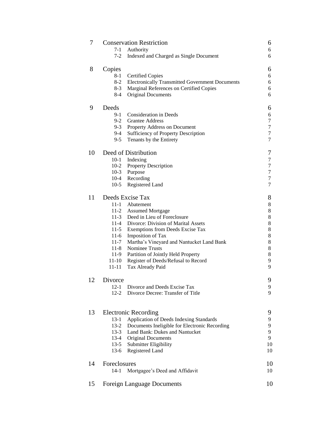| 7  | <b>Conservation Restriction</b> |                                                        | 6      |
|----|---------------------------------|--------------------------------------------------------|--------|
|    | $7-1$                           | Authority                                              | 6      |
|    | $7 - 2$                         | Indexed and Charged as Single Document                 | 6      |
| 8  | Copies                          |                                                        | 6      |
|    | $8 - 1$                         | <b>Certified Copies</b>                                | 6      |
|    | $8 - 2$                         | <b>Electronically Transmitted Government Documents</b> | 6      |
|    | $8-3$                           | Marginal References on Certified Copies                | 6      |
|    | $8-4$                           | Original Documents                                     | 6      |
| 9  | Deeds                           |                                                        | 6      |
|    | $9-1$                           | <b>Consideration in Deeds</b>                          | 6      |
|    | $9-2$                           | <b>Grantee Address</b>                                 | 7      |
|    |                                 | 9-3 Property Address on Document                       | $\tau$ |
|    | $9-4$                           | Sufficiency of Property Description                    | 7      |
|    | $9 - 5$                         | Tenants by the Entirety                                | 7      |
| 10 |                                 | Deed of Distribution                                   | 7      |
|    |                                 | 10-1 Indexing                                          | $\tau$ |
|    |                                 | 10-2 Property Description                              | 7      |
|    |                                 | 10-3 Purpose                                           | $\tau$ |
|    |                                 | 10-4 Recording                                         | $\tau$ |
|    | $10-5$                          | Registered Land                                        | 7      |
| 11 |                                 | Deeds Excise Tax                                       | 8      |
|    |                                 | 11-1 Abatement                                         | 8      |
|    |                                 | 11-2 Assumed Mortgage                                  | 8      |
|    |                                 | 11-3 Deed in Lieu of Foreclosure                       | 8      |
|    |                                 | 11-4 Divorce: Division of Marital Assets               | 8      |
|    |                                 | 11-5 Exemptions from Deeds Excise Tax                  | 8      |
|    |                                 | 11-6 Imposition of Tax                                 | 8      |
|    |                                 | 11-7 Martha's Vineyard and Nantucket Land Bank         | 8      |
|    |                                 | 11-8 Nominee Trusts                                    | 8      |
|    |                                 | 11-9 Partition of Jointly Held Property                | 8      |
|    |                                 | 11-10 Register of Deeds/Refusal to Record              | 9      |
|    | $11 - 11$                       | Tax Already Paid                                       | 9      |
| 12 | Divorce                         |                                                        | 9      |
|    | $12-1$                          | Divorce and Deeds Excise Tax                           | 9      |
|    | $12 - 2$                        | Divorce Decree: Transfer of Title                      | 9      |
|    |                                 |                                                        |        |
| 13 |                                 | <b>Electronic Recording</b>                            | 9      |
|    | $13 - 1$                        | Application of Deeds Indexing Standards                | 9      |
|    | $13 - 2$                        | Documents Ineligible for Electronic Recording          | 9      |
|    | $13-3$                          | Land Bank: Dukes and Nantucket                         | 9      |
|    | $13-4$                          | Original Documents                                     | 9      |
|    | $13-5$                          | Submitter Eligibility                                  | 10     |
|    | $13-6$                          | Registered Land                                        | 10     |
| 14 | Foreclosures                    |                                                        | 10     |
|    | $14-1$                          | Mortgagee's Deed and Affidavit                         | 10     |
| 15 |                                 | <b>Foreign Language Documents</b>                      | 10     |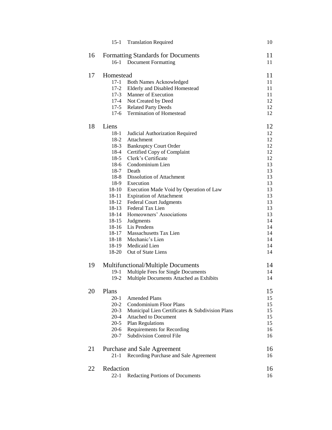|    | $15-1$                             | <b>Translation Required</b>                     | 10       |
|----|------------------------------------|-------------------------------------------------|----------|
| 16 | Formatting Standards for Documents | 11                                              |          |
|    | $16-1$                             | <b>Document Formatting</b>                      | 11       |
| 17 | Homestead                          |                                                 |          |
|    | $17-1$                             | <b>Both Names Acknowledged</b>                  | 11       |
|    | $17 - 2$                           | Elderly and Disabled Homestead                  | 11       |
|    | $17-3$                             | Manner of Execution                             | 11       |
|    | $17 - 4$                           | Not Created by Deed                             | 12       |
|    |                                    | 17-5 Related Party Deeds                        | 12       |
|    | $17-6$                             | <b>Termination of Homestead</b>                 | 12       |
| 18 | Liens                              |                                                 | 12       |
|    | $18-1$                             | Judicial Authorization Required                 | 12       |
|    | $18-2$                             | Attachment                                      | 12       |
|    | 18-3                               | <b>Bankruptcy Court Order</b>                   | 12       |
|    | 18-4                               | Certified Copy of Complaint                     | 12       |
|    | $18-5$                             | Clerk's Certificate                             | 12       |
|    | 18-6                               | Condominium Lien                                | 13       |
|    |                                    | 18-7 Death                                      | 13       |
|    | 18-8                               | <b>Dissolution of Attachment</b>                | 13       |
|    | 18-9                               | Execution                                       | 13       |
|    | $18 - 10$                          | Execution Made Void by Operation of Law         | 13       |
|    | 18-11                              | <b>Expiration of Attachment</b>                 | 13       |
|    | 18-12                              | <b>Federal Court Judgments</b>                  | 13       |
|    | 18-13                              | Federal Tax Lien                                | 13       |
|    | 18-14                              | Homeowners' Associations                        | 13       |
|    | $18 - 15$                          | Judgments                                       | 14       |
|    | $18-16$                            | Lis Pendens<br>18-17 Massachusetts Tax Lien     | 14<br>14 |
|    | 18-18                              | Mechanic's Lien                                 | 14       |
|    |                                    | 18-19 Medicaid Lien                             | 14       |
|    | $18 - 20$                          | Out of State Liens                              | 14       |
|    |                                    |                                                 |          |
| 19 |                                    | <b>Multifunctional/Multiple Documents</b>       | 14       |
|    | 19-1                               | Multiple Fees for Single Documents              | 14       |
|    | $19-2$                             | Multiple Documents Attached as Exhibits         | 14       |
| 20 | Plans                              |                                                 | 15       |
|    | $20-1$                             | <b>Amended Plans</b>                            | 15       |
|    | $20 - 2$                           | <b>Condominium Floor Plans</b>                  | 15       |
|    | $20 - 3$                           | Municipal Lien Certificates & Subdivision Plans | 15       |
|    | $20 - 4$                           | <b>Attached to Document</b>                     | 15       |
|    | $20-5$                             | <b>Plan Regulations</b>                         | 15       |
|    | $20-6$                             | Requirements for Recording                      | 16       |
|    | $20 - 7$                           | <b>Subdivision Control File</b>                 | 16       |
| 21 |                                    | Purchase and Sale Agreement                     | 16       |
|    | 21-1                               | Recording Purchase and Sale Agreement           | 16       |
| 22 | Redaction                          |                                                 | 16       |
|    | 22-1                               | Redacting Portions of Documents                 | 16       |
|    |                                    |                                                 |          |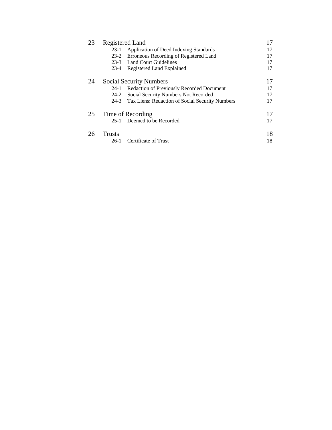| 23 | Registered Land                |                                                 | 17 |
|----|--------------------------------|-------------------------------------------------|----|
|    | 23-1                           | Application of Deed Indexing Standards          | 17 |
|    | $23-2$                         | Erroneous Recording of Registered Land          | 17 |
|    | $23-3$                         | Land Court Guidelines                           | 17 |
|    | $23-4$                         | Registered Land Explained                       | 17 |
| 24 | <b>Social Security Numbers</b> |                                                 | 17 |
|    | $24-1$                         | Redaction of Previously Recorded Document       | 17 |
|    | $24-2$                         | Social Security Numbers Not Recorded            | 17 |
|    | $24-3$                         | Tax Liens: Redaction of Social Security Numbers | 17 |
| 25 | Time of Recording              |                                                 | 17 |
|    | 25-1                           | Deemed to be Recorded                           | 17 |
| 26 | <b>Trusts</b>                  |                                                 | 18 |
|    | 26-1                           | Certificate of Trust                            | 18 |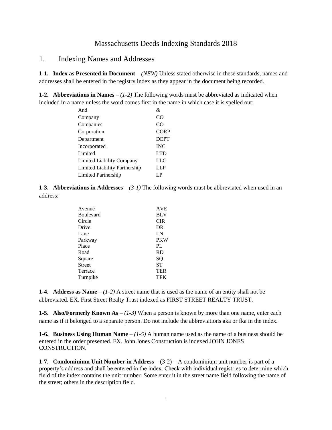#### Massachusetts Deeds Indexing Standards 2018

1. Indexing Names and Addresses

**1-1. Index as Presented in Document** – *(NEW)* Unless stated otherwise in these standards, names and addresses shall be entered in the registry index as they appear in the document being recorded.

**1-2. Abbreviations in Names**  $-(1-2)$  The following words must be abbreviated as indicated when included in a name unless the word comes first in the name in which case it is spelled out:

| And                                  | &               |
|--------------------------------------|-----------------|
| Company                              | CO              |
| Companies                            | CO <sup>1</sup> |
| Corporation                          | <b>CORP</b>     |
| Department                           | <b>DEPT</b>     |
| Incorporated                         | <b>INC</b>      |
| Limited                              | <b>LTD</b>      |
| <b>Limited Liability Company</b>     | <b>LLC</b>      |
| <b>Limited Liability Partnership</b> | <b>LLP</b>      |
| <b>Limited Partnership</b>           | LP              |

**1-3. Abbreviations in Addresses** – *(3-1)* The following words must be abbreviated when used in an address:

| Avenue        | <b>AVE</b> |
|---------------|------------|
| Boulevard     | <b>BLV</b> |
| Circle        | <b>CIR</b> |
| Drive         | DR         |
| Lane          | LN         |
| Parkway       | <b>PKW</b> |
| Place         | PL.        |
| Road          | <b>RD</b>  |
| Square        | SQ         |
| <b>Street</b> | <b>ST</b>  |
| Terrace       | <b>TER</b> |
| Turnpike      | <b>TPK</b> |
|               |            |

**1-4. Address as Name** – *(1-2)* A street name that is used as the name of an entity shall not be abbreviated. EX. First Street Realty Trust indexed as FIRST STREET REALTY TRUST.

**1-5. Also/Formerly Known As** – *(1-3)* When a person is known by more than one name, enter each name as if it belonged to a separate person. Do not include the abbreviations aka or fka in the index.

**1-6. Business Using Human Name** – *(1-5)* A human name used as the name of a business should be entered in the order presented. EX. John Jones Construction is indexed JOHN JONES CONSTRUCTION.

**1-7. Condominium Unit Number in Address** – (3-2) – A condominium unit number is part of a property's address and shall be entered in the index. Check with individual registries to determine which field of the index contains the unit number. Some enter it in the street name field following the name of the street; others in the description field.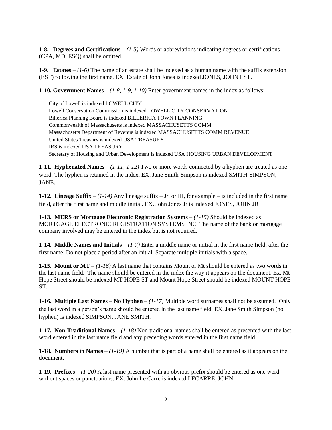**1-8. Degrees and Certifications** – *(1-5)* Words or abbreviations indicating degrees or certifications (CPA, MD, ESQ) shall be omitted.

**1-9. Estates** – *(1-6)* The name of an estate shall be indexed as a human name with the suffix extension (EST) following the first name. EX. Estate of John Jones is indexed JONES, JOHN EST.

**1-10. Government Names** – *(1-8, 1-9, 1-10)* Enter government names in the index as follows:

City of Lowell is indexed LOWELL CITY Lowell Conservation Commission is indexed LOWELL CITY CONSERVATION Billerica Planning Board is indexed BILLERICA TOWN PLANNING Commonwealth of Massachusetts is indexed MASSACHUSETTS COMM Massachusetts Department of Revenue is indexed MASSACHUSETTS COMM REVENUE United States Treasury is indexed USA TREASURY IRS is indexed USA TREASURY Secretary of Housing and Urban Development is indexed USA HOUSING URBAN DEVELOPMENT

**1-11. Hyphenated Names** – *(1-11, 1-12)* Two or more words connected by a hyphen are treated as one word. The hyphen is retained in the index. EX. Jane Smith-Simpson is indexed SMITH-SIMPSON, JANE.

**1-12. Lineage Suffix** – *(1-14)* Any lineage suffix – Jr. or III, for example – is included in the first name field, after the first name and middle initial. EX. John Jones Jr is indexed JONES, JOHN JR

**1-13. MERS or Mortgage Electronic Registration Systems** – *(1-15)* Should be indexed as MORTGAGE ELECTRONIC REGISTRATION SYSTEMS INC The name of the bank or mortgage company involved may be entered in the index but is not required.

**1-14. Middle Names and Initials** – *(1-7)* Enter a middle name or initial in the first name field, after the first name. Do not place a period after an initial. Separate multiple initials with a space.

**1-15. Mount or MT** – *(1-16)* A last name that contains Mount or Mt should be entered as two words in the last name field. The name should be entered in the index the way it appears on the document. Ex. Mt Hope Street should be indexed MT HOPE ST and Mount Hope Street should be indexed MOUNT HOPE ST.

**1-16. Multiple Last Names – No Hyphen** – *(1-17)* Multiple word surnames shall not be assumed. Only the last word in a person's name should be entered in the last name field. EX. Jane Smith Simpson (no hyphen) is indexed SIMPSON, JANE SMITH.

**1-17. Non-Traditional Names** – *(1-18)* Non-traditional names shall be entered as presented with the last word entered in the last name field and any preceding words entered in the first name field.

**1-18. Numbers in Names** – *(1-19)* A number that is part of a name shall be entered as it appears on the document.

**1-19. Prefixes** – *(1-20)* A last name presented with an obvious prefix should be entered as one word without spaces or punctuations. EX. John Le Carre is indexed LECARRE, JOHN.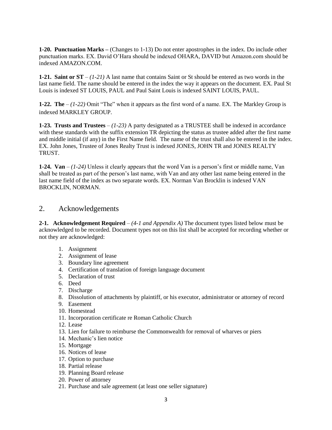**1-20. Punctuation Marks –** (Changes to 1-13) Do not enter apostrophes in the index. Do include other punctuation marks. EX. David O'Hara should be indexed OHARA, DAVID but Amazon.com should be indexed AMAZON.COM.

**1-21. Saint or ST** – *(1-21)* A last name that contains Saint or St should be entered as two words in the last name field. The name should be entered in the index the way it appears on the document. EX. Paul St Louis is indexed ST LOUIS, PAUL and Paul Saint Louis is indexed SAINT LOUIS, PAUL*.*

**1-22. The** – *(1-22)* Omit "The" when it appears as the first word of a name. EX. The Markley Group is indexed MARKLEY GROUP.

**1-23. Trusts and Trustees** – *(1-23)* A party designated as a TRUSTEE shall be indexed in accordance with these standards with the suffix extension TR depicting the status as trustee added after the first name and middle initial (if any) in the First Name field. The name of the trust shall also be entered in the index. EX. John Jones, Trustee of Jones Realty Trust is indexed JONES, JOHN TR and JONES REALTY TRUST.

**1-24. Van** – *(1-24)* Unless it clearly appears that the word Van is a person's first or middle name, Van shall be treated as part of the person's last name, with Van and any other last name being entered in the last name field of the index as two separate words. EX. Norman Van Brocklin is indexed VAN BROCKLIN, NORMAN.

# 2. Acknowledgements

**2-1. Acknowledgement Required** – *(4-1 and Appendix A)* The document types listed below must be acknowledged to be recorded. Document types not on this list shall be accepted for recording whether or not they are acknowledged:

- 1. Assignment
- 2. Assignment of lease
- 3. Boundary line agreement
- 4. Certification of translation of foreign language document
- 5. Declaration of trust
- 6. Deed
- 7. Discharge
- 8. Dissolution of attachments by plaintiff, or his executor, administrator or attorney of record
- 9. Easement
- 10. Homestead
- 11. Incorporation certificate re Roman Catholic Church
- 12. Lease
- 13. Lien for failure to reimburse the Commonwealth for removal of wharves or piers
- 14. Mechanic's lien notice
- 15. Mortgage
- 16. Notices of lease
- 17. Option to purchase
- 18. Partial release
- 19. Planning Board release
- 20. Power of attorney
- 21. Purchase and sale agreement (at least one seller signature)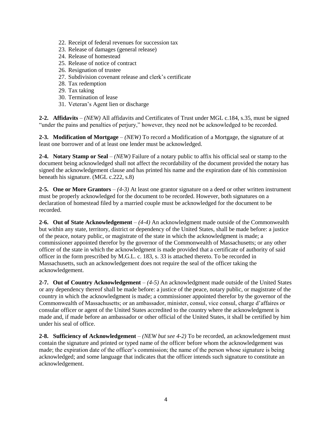- 22. Receipt of federal revenues for succession tax
- 23. Release of damages (general release)
- 24. Release of homestead
- 25. Release of notice of contract
- 26. Resignation of trustee
- 27. Subdivision covenant release and clerk's certificate
- 28. Tax redemption
- 29. Tax taking
- 30. Termination of lease
- 31. Veteran's Agent lien or discharge

**2-2. Affidavits** – *(NEW)* All affidavits and Certificates of Trust under MGL c.184, s.35, must be signed "under the pains and penalties of perjury," however, they need not be acknowledged to be recorded.

**2-3. Modification of Mortgage** – *(NEW)* To record a Modification of a Mortgage, the signature of at least one borrower and of at least one lender must be acknowledged.

**2-4. Notary Stamp or Seal** – *(NEW)* Failure of a notary public to affix his official seal or stamp to the document being acknowledged shall not affect the recordability of the document provided the notary has signed the acknowledgement clause and has printed his name and the expiration date of his commission beneath his signature. (MGL c.222, s.8)

**2-5. One or More Grantors** – *(4-3)* At least one grantor signature on a deed or other written instrument must be properly acknowledged for the document to be recorded. However, both signatures on a declaration of homestead filed by a married couple must be acknowledged for the document to be recorded.

**2-6. Out of State Acknowledgement** – *(4-4)* An acknowledgment made outside of the Commonwealth but within any state, territory, district or dependency of the United States, shall be made before: a justice of the peace, notary public, or magistrate of the state in which the acknowledgment is made; a commissioner appointed therefor by the governor of the Commonwealth of Massachusetts; or any other officer of the state in which the acknowledgment is made provided that a certificate of authority of said officer in the form prescribed by M.G.L. c. 183, s. 33 is attached thereto. To be recorded in Massachusetts, such an acknowledgement does not require the seal of the officer taking the acknowledgement.

**2-7. Out of Country Acknowledgement** – *(4-5)* An acknowledgment made outside of the United States or any dependency thereof shall be made before: a justice of the peace, notary public, or magistrate of the country in which the acknowledgment is made; a commissioner appointed therefor by the governor of the Commonwealth of Massachusetts; or an ambassador, minister, consul, vice consul, charge d'affaires or consular officer or agent of the United States accredited to the country where the acknowledgment is made and, if made before an ambassador or other official of the United States, it shall be certified by him under his seal of office.

**2-8. Sufficiency of Acknowledgement** – *(NEW but see 4-2)* To be recorded, an acknowledgement must contain the signature and printed or typed name of the officer before whom the acknowledgement was made; the expiration date of the officer's commission; the name of the person whose signature is being acknowledged; and some language that indicates that the officer intends such signature to constitute an acknowledgement.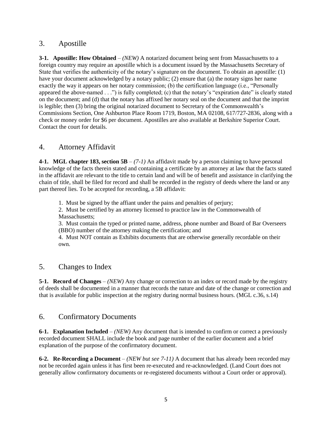## 3. Apostille

**3-1. Apostille: How Obtained** – *(NEW)* A notarized document being sent from Massachusetts to a foreign country may require an apostille which is a document issued by the Massachusetts Secretary of State that verifies the authenticity of the notary's signature on the document. To obtain an apostille: (1) have your document acknowledged by a notary public; (2) ensure that (a) the notary signs her name exactly the way it appears on her notary commission; (b) the certification language (i.e., "Personally appeared the above-named . . .") is fully completed; (c) that the notary's "expiration date" is clearly stated on the document; and (d) that the notary has affixed her notary seal on the document and that the imprint is legible; then (3) bring the original notarized document to Secretary of the Commonwealth's Commissions Section, One Ashburton Place Room 1719, Boston, MA 02108, 617/727-2836, along with a check or money order for \$6 per document. Apostilles are also available at Berkshire Superior Court. Contact the court for details.

# 4. Attorney Affidavit

**4-1. MGL chapter 183, section 5B** – *(7-1)* An affidavit made by a person claiming to have personal knowledge of the facts therein stated and containing a certificate by an attorney at law that the facts stated in the affidavit are relevant to the title to certain land and will be of benefit and assistance in clarifying the chain of title, shall be filed for record and shall be recorded in the registry of deeds where the land or any part thereof lies. To be accepted for recording, a 5B affidavit:

1. Must be signed by the affiant under the pains and penalties of perjury;

2. Must be certified by an attorney licensed to practice law in the Commonwealth of Massachusetts:

3. Must contain the typed or printed name, address, phone number and Board of Bar Overseers (BBO) number of the attorney making the certification; and

4. Must NOT contain as Exhibits documents that are otherwise generally recordable on their own.

## 5. Changes to Index

**5-1. Record of Changes** – *(NEW)* Any change or correction to an index or record made by the registry of deeds shall be documented in a manner that records the nature and date of the change or correction and that is available for public inspection at the registry during normal business hours. (MGL c.36, s.14)

# 6. Confirmatory Documents

**6-1. Explanation Included** – *(NEW)* Any document that is intended to confirm or correct a previously recorded document SHALL include the book and page number of the earlier document and a brief explanation of the purpose of the confirmatory document.

**6-2. Re-Recording a Document** – *(NEW but see 7-11)* A document that has already been recorded may not be recorded again unless it has first been re-executed and re-acknowledged. (Land Court does not generally allow confirmatory documents or re-registered documents without a Court order or approval).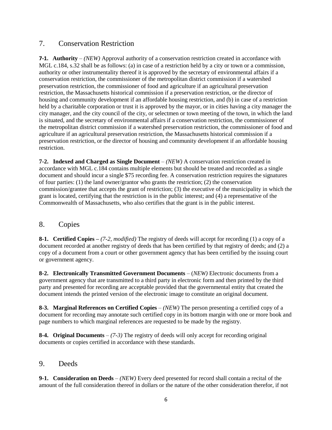# 7. Conservation Restriction

**7-1. Authority** – *(NEW)* Approval authority of a conservation restriction created in accordance with MGL c.184, s.32 shall be as follows: (a) in case of a restriction held by a city or town or a commission, authority or other instrumentality thereof it is approved by the secretary of environmental affairs if a conservation restriction, the commissioner of the metropolitan district commission if a watershed preservation restriction, the commissioner of food and agriculture if an agricultural preservation restriction, the Massachusetts historical commission if a preservation restriction, or the director of housing and community development if an affordable housing restriction, and (b) in case of a restriction held by a charitable corporation or trust it is approved by the mayor, or in cities having a city manager the city manager, and the city council of the city, or selectmen or town meeting of the town, in which the land is situated, and the secretary of environmental affairs if a conservation restriction, the commissioner of the metropolitan district commission if a watershed preservation restriction, the commissioner of food and agriculture if an agricultural preservation restriction, the Massachusetts historical commission if a preservation restriction, or the director of housing and community development if an affordable housing restriction.

**7-2. Indexed and Charged as Single Document** – *(NEW)* A conservation restriction created in accordance with MGL c.184 contains multiple elements but should be treated and recorded as a single document and should incur a single \$75 recording fee. A conservation restriction requires the signatures of four parties: (1) the land owner/grantor who grants the restriction; (2) the conservation commission/grantee that accepts the grant of restriction; (3) the executive of the municipality in which the grant is located, certifying that the restriction is in the public interest; and (4) a representative of the Commonwealth of Massachusetts, who also certifies that the grant is in the public interest.

# 8. Copies

**8-1. Certified Copies –** *(7-2, modified)* The registry of deeds will accept for recording (1) a copy of a document recorded at another registry of deeds that has been certified by that registry of deeds; and (2) a copy of a document from a court or other government agency that has been certified by the issuing court or government agency.

**8-2. Electronically Transmitted Government Documents** – (*NEW)* Electronic documents from a government agency that are transmitted to a third party in electronic form and then printed by the third party and presented for recording are acceptable provided that the governmental entity that created the document intends the printed version of the electronic image to constitute an original document.

**8-3. Marginal References on Certified Copies** – *(NEW)* The person presenting a certified copy of a document for recording may annotate such certified copy in its bottom margin with one or more book and page numbers to which marginal references are requested to be made by the registry.

**8-4. Original Documents** – *(7-3)* The registry of deeds will only accept for recording original documents or copies certified in accordance with these standards.

## 9. Deeds

**9-1. Consideration on Deeds** – *(NEW)* Every deed presented for record shall contain a recital of the amount of the full consideration thereof in dollars or the nature of the other consideration therefor, if not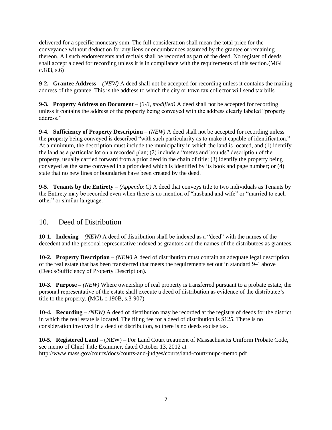delivered for a specific monetary sum. The full consideration shall mean the total price for the conveyance without deduction for any liens or encumbrances assumed by the grantee or remaining thereon. All such endorsements and recitals shall be recorded as part of the deed. No register of deeds shall accept a deed for recording unless it is in compliance with the requirements of this section*.*(MGL c.183, s.6)

**9-2. Grantee Address** – *(NEW)* A deed shall not be accepted for recording unless it contains the mailing address of the grantee. This is the address to which the city or town tax collector will send tax bills.

**9-3. Property Address on Document** – (*3-3, modified)* A deed shall not be accepted for recording unless it contains the address of the property being conveyed with the address clearly labeled "property address."

**9-4. Sufficiency of Property Description** – *(NEW)* A deed shall not be accepted for recording unless the property being conveyed is described "with such particularity as to make it capable of identification." At a minimum, the description must include the municipality in which the land is located, and (1) identify the land as a particular lot on a recorded plan; (2) include a "metes and bounds" description of the property, usually carried forward from a prior deed in the chain of title; (3) identify the property being conveyed as the same conveyed in a prior deed which is identified by its book and page number; or (4) state that no new lines or boundaries have been created by the deed.

**9-5. Tenants by the Entirety** – *(Appendix C)* A deed that conveys title to two individuals as Tenants by the Entirety may be recorded even when there is no mention of "husband and wife" or "married to each other" or similar language.

# 10. Deed of Distribution

**10-1. Indexing** – *(NEW)* A deed of distribution shall be indexed as a "deed" with the names of the decedent and the personal representative indexed as grantors and the names of the distributees as grantees.

**10-2. Property Description** – *(NEW)* A deed of distribution must contain an adequate legal description of the real estate that has been transferred that meets the requirements set out in standard 9-4 above (Deeds/Sufficiency of Property Description).

**10-3. Purpose –** *(NEW)* Where ownership of real property is transferred pursuant to a probate estate, the personal representative of the estate shall execute a deed of distribution as evidence of the distributee's title to the property. (MGL c.190B, s.3-907)

**10-4. Recording** – *(NEW)* A deed of distribution may be recorded at the registry of deeds for the district in which the real estate is located. The filing fee for a deed of distribution is \$125. There is no consideration involved in a deed of distribution, so there is no deeds excise tax.

**10-5. Registered Land** – (NEW) – For Land Court treatment of Massachusetts Uniform Probate Code, see memo of Chief Title Examiner, dated October 13, 2012 at http://www.mass.gov/courts/docs/courts-and-judges/courts/land-court/mupc-memo.pdf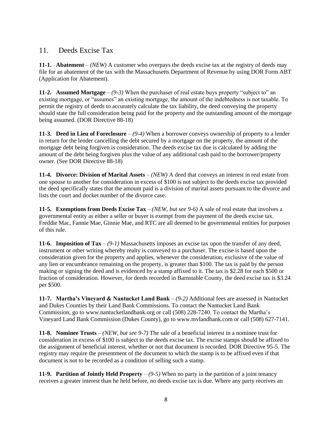# 11. Deeds Excise Tax

**11-1. Abatement** – *(NEW)* A customer who overpays the deeds excise tax at the registry of deeds may file for an abatement of the tax with the Massachusetts Department of Revenue by using DOR Form ABT (Application for Abatement).

**11-2. Assumed Mortgage** – *(9-3)* When the purchaser of real estate buys property "subject to" an existing mortgage, or "assumes" an existing mortgage, the amount of the indebtedness is not taxable. To permit the registry of deeds to accurately calculate the tax liability, the deed conveying the property should state the full consideration being paid for the property and the outstanding amount of the mortgage being assumed. (DOR Directive 88-18)

**11-3. Deed in Lieu of Foreclosure** – *(9-4)* When a borrower conveys ownership of property to a lender in return for the lender cancelling the debt secured by a mortgage on the property, the amount of the mortgage debt being forgiven is consideration. The deeds excise tax due is calculated by adding the amount of the debt being forgiven plus the value of any additional cash paid to the borrower/property owner. (See DOR Directive 88-18)

**11-4. Divorce: Division of Marital Assets** – *(NEW)* A deed that conveys an interest in real estate from one spouse to another for consideration in excess of \$100 is not subject to the deeds excise tax provided the deed specifically states that the amount paid is a division of marital assets pursuant to the divorce and lists the court and docket number of the divorce case.

**11-5. Exemptions from Deeds Excise Tax** – *(NEW, but see 9-6)* A sale of real estate that involves a governmental entity as either a seller or buyer is exempt from the payment of the deeds excise tax. Freddie Mac, Fannie Mae, Ginnie Mae, and RTC are all deemed to be governmental entities for purposes of this rule.

**11-6. Imposition of Tax** – *(9-1)* Massachusetts imposes an excise tax upon the transfer of any deed, instrument or other writing whereby realty is conveyed to a purchaser. The excise is based upon the consideration given for the property and applies, whenever the consideration, exclusive of the value of any lien or encumbrance remaining on the property, is greater than \$100. The tax is paid by the person making or signing the deed and is evidenced by a stamp affixed to it. The tax is \$2.28 for each \$500 or fraction of consideration. However, for deeds recorded in Barnstable County, the deed excise tax is \$3.24 per \$500.

**11-7. Martha's Vineyard & Nantucket Land Bank** – *(9-2)* Additional fees are assessed in Nantucket and Dukes Counties by their Land Bank Commissions. To contact the Nantucket Land Bank Commission, go to www.nantucketlandbank.org or call (508) 228-7240. To contact the Martha's Vineyard Land Bank Commission (Dukes County), go to www.mvlandbank.com or call (508) 627-7141.

**11-8. Nominee Trusts** – *(NEW, but see 9-7)* The sale of a beneficial interest in a nominee trust for consideration in excess of \$100 is subject to the deeds excise tax. The excise stamps should be affixed to the assignment of beneficial interest, whether or not that document is recorded. DOR Directive 95-5. The registry may require the presentment of the document to which the stamp is to be affixed even if that document is not to be recorded as a condition of selling such a stamp.

**11-9. Partition of Jointly Held Property**  $-(9-5)$  When no party in the partition of a joint tenancy receives a greater interest than he held before, no deeds excise tax is due. Where any party receives an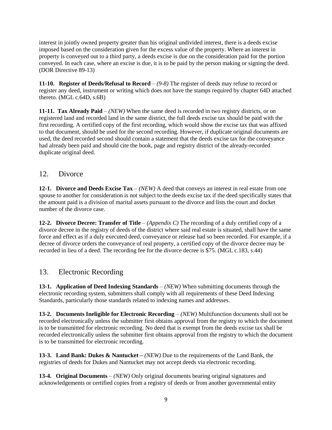interest in jointly owned property greater than his original undivided interest, there is a deeds excise imposed based on the consideration given for the excess value of the property. Where an interest in property is conveyed out to a third party, a deeds excise is due on the consideration paid for the portion conveyed. In each case, where an excise is due, it is to be paid by the person making or signing the deed. (DOR Directive 89-13)

**11-10. Register of Deeds/Refusal to Record** – *(9-8)* The register of deeds may refuse to record or register any deed, instrument or writing which does not have the stamps required by chapter 64D attached thereto. (MGL c.64D, s.6B)

**11-11. Tax Already Paid** – *(NEW)* When the same deed is recorded in two registry districts, or on registered land and recorded land in the same district, the full deeds excise tax should be paid with the first recording. A certified copy of the first recording, which would show the excise tax that was affixed to that document, should be used for the second recording. However, if duplicate original documents are used, the deed recorded second should contain a statement that the deeds excise tax for the conveyance had already been paid and should cite the book, page and registry district of the already-recorded duplicate original deed.

## 12. Divorce

**12-1. Divorce and Deeds Excise Tax** – *(NEW)* A deed that conveys an interest in real estate from one spouse to another for consideration is not subject to the deeds excise tax if the deed specifically states that the amount paid is a division of marital assets pursuant to the divorce and lists the court and docket number of the divorce case.

**12-2. Divorce Decree: Transfer of Title** – *(Appendix C)* The recording of a duly certified copy of a divorce decree in the registry of deeds of the district where said real estate is situated, shall have the same force and effect as if a duly executed deed, conveyance or release had so been recorded. For example, if a decree of divorce orders the conveyance of real property, a certified copy of the divorce decree may be recorded in lieu of a deed. The recording fee for the divorce decree is \$75. (MGL c.183, s.44)

# 13. Electronic Recording

**13-1. Application of Deed Indexing Standards** – *(NEW)* When submitting documents through the electronic recording system, submitters shall comply with all requirements of these Deed Indexing Standards, particularly those standards related to indexing names and addresses.

**13-2. Documents Ineligible for Electronic Recording** – *(NEW)* Multifunction documents shall not be recorded electronically unless the submitter first obtains approval from the registry to which the document is to be transmitted for electronic recording. No deed that is exempt from the deeds excise tax shall be recorded electronically unless the submitter first obtains approval from the registry to which the document is to be transmitted for electronic recording.

**13-3. Land Bank: Dukes & Nantucket –** *(NEW)* Due to the requirements of the Land Bank, the registries of deeds for Dukes and Nantucket may not accept deeds via electronic recording.

**13-4. Original Documents** – *(NEW)* Only original documents bearing original signatures and acknowledgements or certified copies from a registry of deeds or from another governmental entity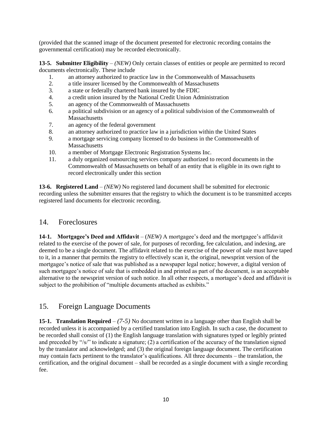(provided that the scanned image of the document presented for electronic recording contains the governmental certification) may be recorded electronically.

**13-5. Submitter Eligibility** – *(NEW)* Only certain classes of entities or people are permitted to record documents electronically. These include

- 1. an attorney authorized to practice law in the Commonwealth of Massachusetts
- 2. a title insurer licensed by the Commonwealth of Massachusetts
- 3. a state or federally chartered bank insured by the FDIC
- 4. a credit union insured by the National Credit Union Administration
- 5. an agency of the Commonwealth of Massachusetts
- 6. a political subdivision or an agency of a political subdivision of the Commonwealth of **Massachusetts**
- 7. an agency of the federal government
- 8. an attorney authorized to practice law in a jurisdiction within the United States
- 9. a mortgage servicing company licensed to do business in the Commonwealth of **Massachusetts**
- 10. a member of Mortgage Electronic Registration Systems Inc.
- 11. a duly organized outsourcing services company authorized to record documents in the Commonwealth of Massachusetts on behalf of an entity that is eligible in its own right to record electronically under this section

**13-6. Registered Land** – *(NEW)* No registered land document shall be submitted for electronic recording unless the submitter ensures that the registry to which the document is to be transmitted accepts registered land documents for electronic recording.

## 14. Foreclosures

**14-1. Mortgagee's Deed and Affidavit** – (*NEW)* A mortgagee's deed and the mortgagee's affidavit related to the exercise of the power of sale, for purposes of recording, fee calculation, and indexing, are deemed to be a single document. The affidavit related to the exercise of the power of sale must have taped to it, in a manner that permits the registry to effectively scan it, the original, newsprint version of the mortgagee's notice of sale that was published as a newspaper legal notice; however, a digital version of such mortgagee's notice of sale that is embedded in and printed as part of the document, is an acceptable alternative to the newsprint version of such notice. In all other respects, a mortagee's deed and affidavit is subject to the prohibition of "multiple documents attached as exhibits."

# 15. Foreign Language Documents

**15-1. Translation Required** – *(7-5)* No document written in a language other than English shall be recorded unless it is accompanied by a certified translation into English. In such a case, the document to be recorded shall consist of (1) the English language translation with signatures typed or legibly printed and preceded by "/s/" to indicate a signature; (2) a certification of the accuracy of the translation signed by the translator and acknowledged; and (3) the original foreign language document. The certification may contain facts pertinent to the translator's qualifications. All three documents – the translation, the certification, and the original document – shall be recorded as a single document with a single recording fee.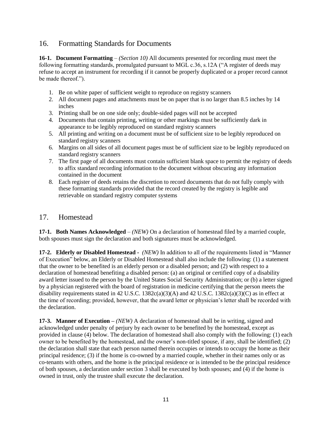# 16. Formatting Standards for Documents

**16-1. Document Formatting** – *(Section 10)* All documents presented for recording must meet the following formatting standards, promulgated pursuant to MGL c.36, s.12A ("A register of deeds may refuse to accept an instrument for recording if it cannot be properly duplicated or a proper record cannot be made thereof.").

- 1. Be on white paper of sufficient weight to reproduce on registry scanners
- 2. All document pages and attachments must be on paper that is no larger than 8.5 inches by 14 inches
- 3. Printing shall be on one side only; double-sided pages will not be accepted
- 4. Documents that contain printing, writing or other markings must be sufficiently dark in appearance to be legibly reproduced on standard registry scanners
- 5. All printing and writing on a document must be of sufficient size to be legibly reproduced on standard registry scanners
- 6. Margins on all sides of all document pages must be of sufficient size to be legibly reproduced on standard registry scanners
- 7. The first page of all documents must contain sufficient blank space to permit the registry of deeds to affix standard recording information to the document without obscuring any information contained in the document
- 8. Each register of deeds retains the discretion to record documents that do not fully comply with these formatting standards provided that the record created by the registry is legible and retrievable on standard registry computer systems

## 17. Homestead

**17-1. Both Names Acknowledged** – *(NEW)* On a declaration of homestead filed by a married couple, both spouses must sign the declaration and both signatures must be acknowledged.

**17-2. Elderly or Disabled Homestead -** *(NEW)* In addition to all of the requirements listed in "Manner of Execution" below, an Elderly or Disabled Homestead shall also include the following: (1) a statement that the owner to be benefited is an elderly person or a disabled person; and (2) with respect to a declaration of homestead benefiting a disabled person: (a) an original or certified copy of a disability award letter issued to the person by the United States Social Security Administration; or (b) a letter signed by a physician registered with the board of registration in medicine certifying that the person meets the disability requirements stated in 42 U.S.C. 1382c(a)(3)(A) and 42 U.S.C. 1382c(a)(3)(C) as in effect at the time of recording; provided, however, that the award letter or physician's letter shall be recorded with the declaration.

**17-3. Manner of Execution –** *(NEW)* A declaration of homestead shall be in writing, signed and acknowledged under penalty of perjury by each owner to be benefited by the homestead, except as provided in clause (4) below. The declaration of homestead shall also comply with the following: (1) each owner to be benefited by the homestead, and the owner's non-titled spouse, if any, shall be identified; (2) the declaration shall state that each person named therein occupies or intends to occupy the home as their principal residence; (3) if the home is co-owned by a married couple, whether in their names only or as co-tenants with others, and the home is the principal residence or is intended to be the principal residence of both spouses, a declaration under section 3 shall be executed by both spouses; and (4) if the home is owned in trust, only the trustee shall execute the declaration.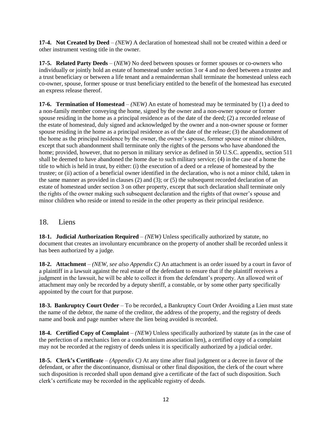**17-4. Not Created by Deed** – *(NEW)* A declaration of homestead shall not be created within a deed or other instrument vesting title in the owner.

**17-5. Related Party Deeds** – (*NEW)* No deed between spouses or former spouses or co-owners who individually or jointly hold an estate of homestead under section 3 or 4 and no deed between a trustee and a trust beneficiary or between a life tenant and a remainderman shall terminate the homestead unless each co-owner, spouse, former spouse or trust beneficiary entitled to the benefit of the homestead has executed an express release thereof.

**17-6. Termination of Homestead** – *(NEW)* An estate of homestead may be terminated by (1) a deed to a non-family member conveying the home, signed by the owner and a non-owner spouse or former spouse residing in the home as a principal residence as of the date of the deed; (2) a recorded release of the estate of homestead, duly signed and acknowledged by the owner and a non-owner spouse or former spouse residing in the home as a principal residence as of the date of the release; (3) the abandonment of the home as the principal residence by the owner, the owner's spouse, former spouse or minor children, except that such abandonment shall terminate only the rights of the persons who have abandoned the home; provided, however, that no person in military service as defined in 50 U.S.C. appendix, section 511 shall be deemed to have abandoned the home due to such military service; (4) in the case of a home the title to which is held in trust, by either: (i) the execution of a deed or a release of homestead by the trustee; or (ii) action of a beneficial owner identified in the declaration, who is not a minor child, taken in the same manner as provided in clauses (2) and (3); or (5) the subsequent recorded declaration of an estate of homestead under section 3 on other property, except that such declaration shall terminate only the rights of the owner making such subsequent declaration and the rights of that owner's spouse and minor children who reside or intend to reside in the other property as their principal residence.

## 18. Liens

**18-1. Judicial Authorization Required** – *(NEW)* Unless specifically authorized by statute, no document that creates an involuntary encumbrance on the property of another shall be recorded unless it has been authorized by a judge.

**18-2.** Attachment – *(NEW, see also Appendix C)* An attachment is an order issued by a court in favor of a plaintiff in a lawsuit against the real estate of the defendant to ensure that if the plaintiff receives a judgment in the lawsuit, he will be able to collect it from the defendant's property. An allowed writ of attachment may only be recorded by a deputy sheriff, a constable, or by some other party specifically appointed by the court for that purpose.

**18-3. Bankruptcy Court Order** – To be recorded, a Bankruptcy Court Order Avoiding a Lien must state the name of the debtor, the name of the creditor, the address of the property, and the registry of deeds name and book and page number where the lien being avoided is recorded.

**18-4. Certified Copy of Complaint** – *(NEW)* Unless specifically authorized by statute (as in the case of the perfection of a mechanics lien or a condominium association lien), a certified copy of a complaint may not be recorded at the registry of deeds unless it is specifically authorized by a judicial order.

**18-5. Clerk's Certificate** – *(Appendix C)* At any time after final judgment or a decree in favor of the defendant, or after the discontinuance, dismissal or other final disposition, the clerk of the court where such disposition is recorded shall upon demand give a certificate of the fact of such disposition. Such clerk's certificate may be recorded in the applicable registry of deeds.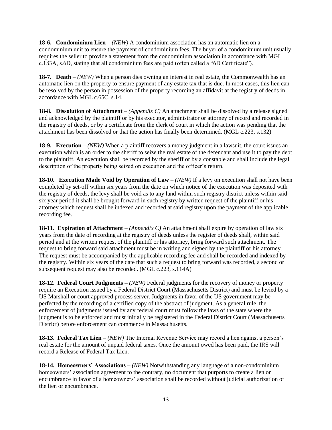**18-6. Condominium Lien** – *(NEW)* A condominium association has an automatic lien on a condominium unit to ensure the payment of condominium fees. The buyer of a condominium unit usually requires the seller to provide a statement from the condominium association in accordance with MGL c.183A, s.6D, stating that all condominium fees are paid (often called a "6D Certificate").

**18-7. Death** – *(NEW)* When a person dies owning an interest in real estate, the Commonwealth has an automatic lien on the property to ensure payment of any estate tax that is due. In most cases, this lien can be resolved by the person in possession of the property recording an affidavit at the registry of deeds in accordance with MGL c.65C, s.14.

**18-8. Dissolution of Attachment** – *(Appendix C)* An attachment shall be dissolved by a release signed and acknowledged by the plaintiff or by his executor, administrator or attorney of record and recorded in the registry of deeds, or by a certificate from the clerk of court in which the action was pending that the attachment has been dissolved or that the action has finally been determined. (MGL c.223, s.132)

**18-9. Execution** – *(NEW)* When a plaintiff recovers a money judgment in a lawsuit, the court issues an execution which is an order to the sheriff to seize the real estate of the defendant and use it to pay the debt to the plaintiff. An execution shall be recorded by the sheriff or by a constable and shall include the legal description of the property being seized on execution and the officer's return.

**18-10. Execution Made Void by Operation of Law** – *(NEW)* If a levy on execution shall not have been completed by set-off within six years from the date on which notice of the execution was deposited with the registry of deeds, the levy shall be void as to any land within such registry district unless within said six year period it shall be brought forward in such registry by written request of the plaintiff or his attorney which request shall be indexed and recorded at said registry upon the payment of the applicable recording fee.

**18-11. Expiration of Attachment** – *(Appendix C)* An attachment shall expire by operation of law six years from the date of recording at the registry of deeds unless the register of deeds shall, within said period and at the written request of the plaintiff or his attorney, bring forward such attachment. The request to bring forward said attachment must be in writing and signed by the plaintiff or his attorney. The request must be accompanied by the applicable recording fee and shall be recorded and indexed by the registry. Within six years of the date that such a request to bring forward was recorded, a second or subsequent request may also be recorded. (MGL c.223, s.114A)

**18-12. Federal Court Judgments –** *(NEW)* Federal judgments for the recovery of money or property require an Execution issued by a Federal District Court (Massachusetts District) and must be levied by a US Marshall or court approved process server. Judgments in favor of the US government may be perfected by the recording of a certified copy of the abstract of judgment. As a general rule, the enforcement of judgments issued by any federal court must follow the laws of the state where the judgment is to be enforced and must initially be registered in the Federal District Court (Massachusetts District) before enforcement can commence in Massachusetts.

**18-13. Federal Tax Lien** – *(NEW)* The Internal Revenue Service may record a lien against a person's real estate for the amount of unpaid federal taxes. Once the amount owed has been paid, the IRS will record a Release of Federal Tax Lien.

**18-14. Homeowners' Associations** – *(NEW)* Notwithstanding any language of a non-condominium homeowners' association agreement to the contrary, no document that purports to create a lien or encumbrance in favor of a homeowners' association shall be recorded without judicial authorization of the lien or encumbrance.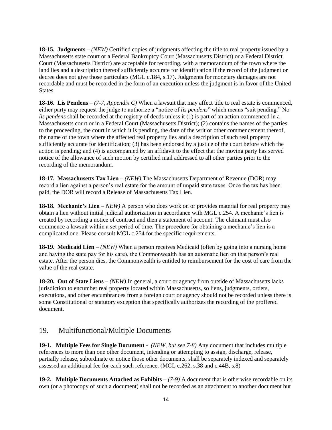**18-15. Judgments** – *(NEW)* Certified copies of judgments affecting the title to real property issued by a Massachusetts state court or a Federal Bankruptcy Court (Massachusetts District) or a Federal District Court (Massachusetts District) are acceptable for recording, with a memorandum of the town where the land lies and a description thereof sufficiently accurate for identification if the record of the judgment or decree does not give those particulars (MGL c.184, s.17). Judgments for monetary damages are not recordable and must be recorded in the form of an execution unless the judgment is in favor of the United States.

**18-16. Lis Pendens** – *(7-7, Appendix C)* When a lawsuit that may affect title to real estate is commenced, either party may request the judge to authorize a "notice of *lis pendens*" which means "suit pending." No *lis pendens* shall be recorded at the registry of deeds unless it (1) is part of an action commenced in a Massachusetts court or in a Federal Court (Massachusetts District); (2) contains the names of the parties to the proceeding, the court in which it is pending, the date of the writ or other commencement thereof, the name of the town where the affected real property lies and a description of such real property sufficiently accurate for identification; (3) has been endorsed by a justice of the court before which the action is pending; and (4) is accompanied by an affidavit to the effect that the moving party has served notice of the allowance of such motion by certified mail addressed to all other parties prior to the recording of the memorandum.

**18-17. Massachusetts Tax Lien** – *(NEW)* The Massachusetts Department of Revenue (DOR) may record a lien against a person's real estate for the amount of unpaid state taxes. Once the tax has been paid, the DOR will record a Release of Massachusetts Tax Lien.

**18-18. Mechanic's Lien** – *NEW)* A person who does work on or provides material for real property may obtain a lien without initial judicial authorization in accordance with MGL c.254. A mechanic's lien is created by recording a notice of contract and then a statement of account. The claimant must also commence a lawsuit within a set period of time. The procedure for obtaining a mechanic's lien is a complicated one. Please consult MGL c.254 for the specific requirements.

**18-19. Medicaid Lien** – *(NEW)* When a person receives Medicaid (often by going into a nursing home and having the state pay for his care), the Commonwealth has an automatic lien on that person's real estate. After the person dies, the Commonwealth is entitled to reimbursement for the cost of care from the value of the real estate.

**18-20. Out of State Liens** – *(NEW)* In general, a court or agency from outside of Massachusetts lacks jurisdiction to encumber real property located within Massachusetts, so liens, judgments, orders, executions, and other encumbrances from a foreign court or agency should not be recorded unless there is some Constitutional or statutory exception that specifically authorizes the recording of the proffered document.

# 19. Multifunctional/Multiple Documents

**19-1. Multiple Fees for Single Document** - *(NEW, but see 7-8)* Any document that includes multiple references to more than one other document, intending or attempting to assign, discharge, release, partially release, subordinate or notice those other documents, shall be separately indexed and separately assessed an additional fee for each such reference. (MGL c.262, s.38 and c.44B, s.8)

**19-2. Multiple Documents Attached as Exhibits** – *(7-9)* A document that is otherwise recordable on its own (or a photocopy of such a document) shall not be recorded as an attachment to another document but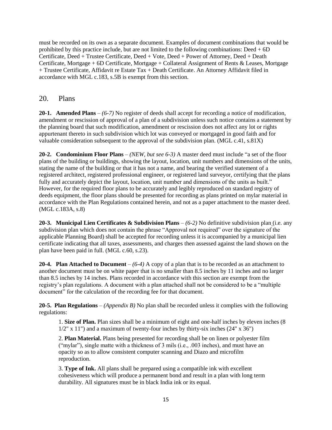must be recorded on its own as a separate document. Examples of document combinations that would be prohibited by this practice include, but are not limited to the following combinations:  $Dead + 6D$ Certificate, Deed + Trustee Certificate, Deed + Vote, Deed + Power of Attorney, Deed + Death Certificate, Mortgage + 6D Certificate, Mortgage + Collateral Assignment of Rents & Leases, Mortgage + Trustee Certificate, Affidavit re Estate Tax + Death Certificate. An Attorney Affidavit filed in accordance with MGL c.183, s.5B is exempt from this section.

## 20. Plans

**20-1. Amended Plans** – *(6-7)* No register of deeds shall accept for recording a notice of modification, amendment or rescission of approval of a plan of a subdivision unless such notice contains a statement by the planning board that such modification, amendment or rescission does not affect any lot or rights appurtenant thereto in such subdivision which lot was conveyed or mortgaged in good faith and for valuable consideration subsequent to the approval of the subdivision plan. (MGL c.41, s.81X)

**20-2. Condominium Floor Plans** – *(NEW, but see 6-3)* A master deed must include "a set of the floor plans of the building or buildings, showing the layout, location, unit numbers and dimensions of the units, stating the name of the building or that it has not a name, and bearing the verified statement of a registered architect, registered professional engineer, or registered land surveyor, certifying that the plans fully and accurately depict the layout, location, unit number and dimensions of the units as built." However, for the required floor plans to be accurately and legibly reproduced on standard registry of deeds equipment, the floor plans should be presented for recording as plans printed on mylar material in accordance with the Plan Regulations contained herein, and not as a paper attachment to the master deed. (MGL c.183A, s.8)

**20-3. Municipal Lien Certificates & Subdivision Plans** – *(6-2)* No definitive subdivision plan (i.e. any subdivision plan which does not contain the phrase "Approval not required" over the signature of the applicable Planning Board) shall be accepted for recording unless it is accompanied by a municipal lien certificate indicating that all taxes, assessments, and charges then assessed against the land shown on the plan have been paid in full. (MGL c.60, s.23).

**20-4. Plan Attached to Document** – *(6-4)* A copy of a plan that is to be recorded as an attachment to another document must be on white paper that is no smaller than 8.5 inches by 11 inches and no larger than 8.5 inches by 14 inches. Plans recorded in accordance with this section are exempt from the registry's plan regulations. A document with a plan attached shall not be considered to be a "multiple document" for the calculation of the recording fee for that document.

**20-5. Plan Regulations** – *(Appendix B)* No plan shall be recorded unless it complies with the following regulations:

1. **Size of Plan.** Plan sizes shall be a minimum of eight and one-half inches by eleven inches (8  $1/2$ " x 11") and a maximum of twenty-four inches by thirty-six inches (24" x 36")

2. **Plan Material.** Plans being presented for recording shall be on linen or polyester film ("mylar"), single matte with a thickness of 3 mils (i.e., .003 inches), and must have an opacity so as to allow consistent computer scanning and Diazo and microfilm reproduction.

3. **Type of Ink.** All plans shall be prepared using a compatible ink with excellent cohesiveness which will produce a permanent bond and result in a plan with long term durability. All signatures must be in black India ink or its equal.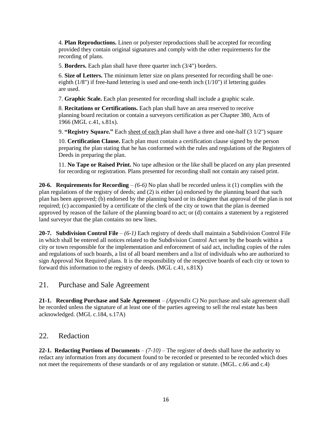4. **Plan Reproductions.** Linen or polyester reproductions shall be accepted for recording provided they contain original signatures and comply with the other requirements for the recording of plans.

5. **Borders.** Each plan shall have three quarter inch (3/4") borders.

6. **Size of Letters.** The minimum letter size on plans presented for recording shall be oneeighth  $(1/8)$  if free-hand lettering is used and one-tenth inch  $(1/10)$  if lettering guides are used.

7. **Graphic Scale.** Each plan presented for recording shall include a graphic scale.

8. **Recitations or Certifications.** Each plan shall have an area reserved to receive planning board recitation or contain a surveyors certification as per Chapter 380, Acts of 1966 (MGL c.41, s.81x).

9. **"Registry Square."** Each sheet of each plan shall have a three and one-half (3 1/2") square

10. **Certification Clause.** Each plan must contain a certification clause signed by the person preparing the plan stating that he has conformed with the rules and regulations of the Registers of Deeds in preparing the plan.

11. **No Tape or Raised Print.** No tape adhesion or the like shall be placed on any plan presented for recording or registration. Plans presented for recording shall not contain any raised print.

**20-6. Requirements for Recording** – *(6-6)* No plan shall be recorded unless it (1) complies with the plan regulations of the registry of deeds; and (2) is either (a) endorsed by the planning board that such plan has been approved; (b) endorsed by the planning board or its designee that approval of the plan is not required; (c) accompanied by a certificate of the clerk of the city or town that the plan is deemed approved by reason of the failure of the planning board to act; or (d) contains a statement by a registered land surveyor that the plan contains no new lines.

**20-7. Subdivision Control File** – *(6-1)* Each registry of deeds shall maintain a Subdivision Control File in which shall be entered all notices related to the Subdivision Control Act sent by the boards within a city or town responsible for the implementation and enforcement of said act, including copies of the rules and regulations of such boards, a list of all board members and a list of individuals who are authorized to sign Approval Not Required plans. It is the responsibility of the respective boards of each city or town to forward this information to the registry of deeds. (MGL c.41, s.81X)

21. Purchase and Sale Agreement

**21-1. Recording Purchase and Sale Agreement** – *(Appendix C)* No purchase and sale agreement shall be recorded unless the signature of at least one of the parties agreeing to sell the real estate has been acknowledged. (MGL c.184, s.17A)

## 22. Redaction

**22-1. Redacting Portions of Documents** – *(7-10)* – The register of deeds shall have the authority to redact any information from any document found to be recorded or presented to be recorded which does not meet the requirements of these standards or of any regulation or statute. (MGL. c.66 and c.4)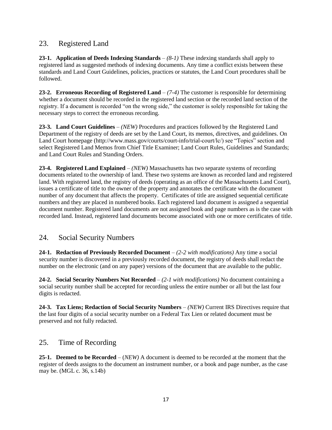# 23. Registered Land

**23-1. Application of Deeds Indexing Standards** – *(8-1)* These indexing standards shall apply to registered land as suggested methods of indexing documents. Any time a conflict exists between these standards and Land Court Guidelines, policies, practices or statutes, the Land Court procedures shall be followed.

**23-2. Erroneous Recording of Registered Land** – *(7-4)* The customer is responsible for determining whether a document should be recorded in the registered land section or the recorded land section of the registry. If a document is recorded "on the wrong side," the customer is solely responsible for taking the necessary steps to correct the erroneous recording.

**23-3. Land Court Guidelines** – *(NEW)* Procedures and practices followed by the Registered Land Department of the registry of deeds are set by the Land Court, its memos, directives, and guidelines. On Land Court homepage (http://www.mass.gov/courts/court-info/trial-court/lc/) see "Topics" section and select Registered Land Memos from Chief Title Examiner; Land Court Rules, Guidelines and Standards; and Land Court Rules and Standing Orders.

**23-4. Registered Land Explained** – *(NEW)* Massachusetts has two separate systems of recording documents related to the ownership of land. These two systems are known as recorded land and registered land. With registered land, the registry of deeds (operating as an office of the Massachusetts Land Court), issues a certificate of title to the owner of the property and annotates the certificate with the document number of any document that affects the property. Certificates of title are assigned sequential certificate numbers and they are placed in numbered books. Each registered land document is assigned a sequential document number. Registered land documents are not assigned book and page numbers as is the case with recorded land. Instead, registered land documents become associated with one or more certificates of title.

# 24. Social Security Numbers

**24-1. Redaction of Previously Recorded Document** – *(2-2 with modifications)* Any time a social security number is discovered in a previously recorded document, the registry of deeds shall redact the number on the electronic (and on any paper) versions of the document that are available to the public.

**24-2. Social Security Numbers Not Recorded** – *(2-1 with modifications)* No document containing a social security number shall be accepted for recording unless the entire number or all but the last four digits is redacted.

**24-3. Tax Liens; Redaction of Social Security Numbers** – *(NEW)* Current IRS Directives require that the last four digits of a social security number on a Federal Tax Lien or related document must be preserved and not fully redacted.

# 25. Time of Recording

**25-1. Deemed to be Recorded** – (*NEW)* A document is deemed to be recorded at the moment that the register of deeds assigns to the document an instrument number, or a book and page number, as the case may be. (MGL c. 36, s.14b)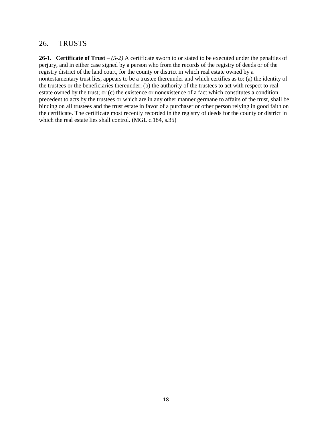#### 26. TRUSTS

**26-1. Certificate of Trust** – *(5-2)* A certificate sworn to or stated to be executed under the penalties of perjury, and in either case signed by a person who from the records of the registry of deeds or of the registry district of the land court, for the county or district in which real estate owned by a nontestamentary trust lies, appears to be a trustee thereunder and which certifies as to: (a) the identity of the trustees or the beneficiaries thereunder; (b) the authority of the trustees to act with respect to real estate owned by the trust; or (c) the existence or nonexistence of a fact which constitutes a condition precedent to acts by the trustees or which are in any other manner germane to affairs of the trust, shall be binding on all trustees and the trust estate in favor of a purchaser or other person relying in good faith on the certificate. The certificate most recently recorded in the registry of deeds for the county or district in which the real estate lies shall control. (MGL c.184, s.35)